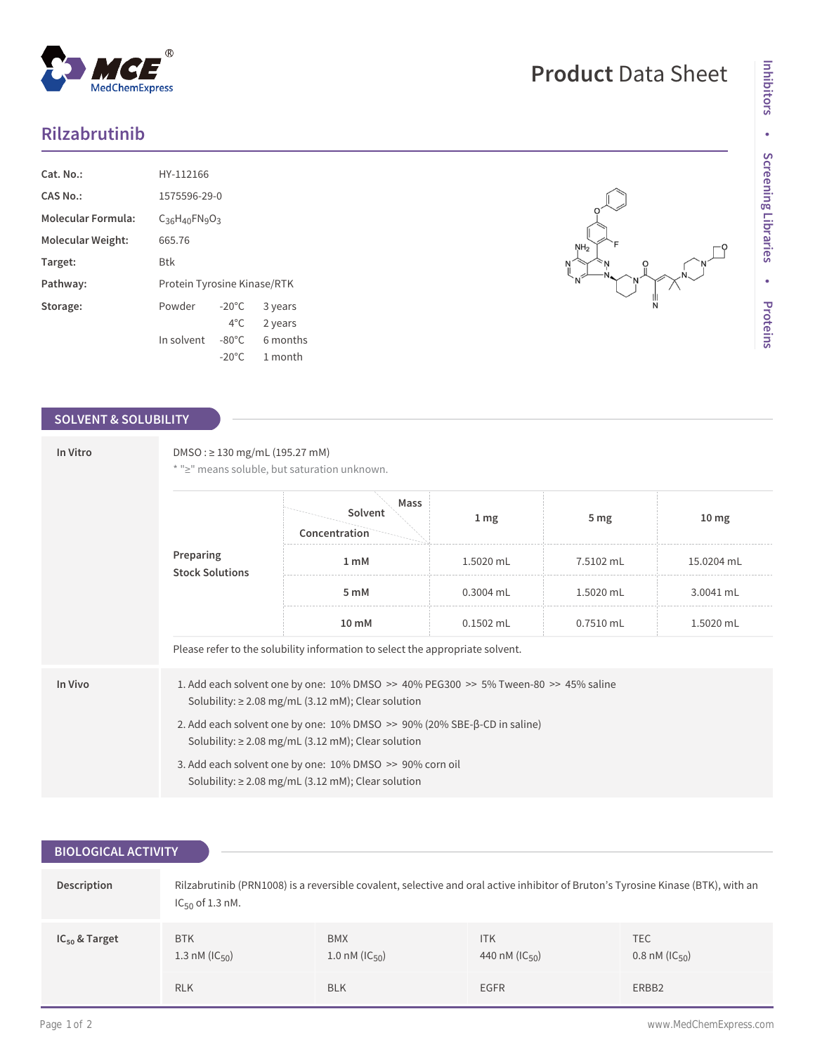## **Rilzabrutinib**

| $Cat. No.$ :              | HY-112166                   |                 |          |
|---------------------------|-----------------------------|-----------------|----------|
| CAS No.:                  | 1575596-29-0                |                 |          |
| <b>Molecular Formula:</b> | $C_{36}H_{40}FN_{9}O_{3}$   |                 |          |
| Molecular Weight:         | 665.76                      |                 |          |
| Target:                   | Btk                         |                 |          |
| Pathway:                  | Protein Tyrosine Kinase/RTK |                 |          |
| Storage:                  | Powder                      | $-20^{\circ}$ C | 3 years  |
|                           |                             | $4^{\circ}$ C.  | 2 years  |
|                           | In solvent                  | $-80^{\circ}$ C | 6 months |
|                           |                             | $-20^{\circ}$ C | 1 month  |

## **SOLVENT & SOLUBILITY**

| In Vitro | $DMSO: \geq 130$ mg/mL (195.27 mM)<br>* ">" means soluble, but saturation unknown.                                                                |                                  |                 |                 |                  |  |
|----------|---------------------------------------------------------------------------------------------------------------------------------------------------|----------------------------------|-----------------|-----------------|------------------|--|
|          | Preparing<br><b>Stock Solutions</b>                                                                                                               | Mass<br>Solvent<br>Concentration | 1 <sub>mg</sub> | 5 <sub>mg</sub> | 10 <sub>mg</sub> |  |
|          |                                                                                                                                                   | 1 <sub>m</sub> M                 | 1.5020 mL       | 7.5102 mL       | 15.0204 mL       |  |
|          |                                                                                                                                                   | 5 mM                             | 0.3004 mL       | 1.5020 mL       | 3.0041 mL        |  |
|          |                                                                                                                                                   | $10 \text{ mM}$                  | $0.1502$ mL     | $0.7510$ mL     | 1.5020 mL        |  |
|          | Please refer to the solubility information to select the appropriate solvent.                                                                     |                                  |                 |                 |                  |  |
| In Vivo  | 1. Add each solvent one by one: 10% DMSO >> 40% PEG300 >> 5% Tween-80 >> 45% saline<br>Solubility: $\geq$ 2.08 mg/mL (3.12 mM); Clear solution    |                                  |                 |                 |                  |  |
|          | 2. Add each solvent one by one: $10\%$ DMSO $\gg$ 90% (20% SBE- $\beta$ -CD in saline)<br>Solubility: $\geq$ 2.08 mg/mL (3.12 mM); Clear solution |                                  |                 |                 |                  |  |
|          | 3. Add each solvent one by one: 10% DMSO >> 90% corn oil<br>Solubility: $\geq$ 2.08 mg/mL (3.12 mM); Clear solution                               |                                  |                 |                 |                  |  |

## **BIOLOGICAL ACTIVITY**

| Description        | Rilzabrutinib (PRN1008) is a reversible covalent, selective and oral active inhibitor of Bruton's Tyrosine Kinase (BTK), with an<br>$IC_{50}$ of 1.3 nM. |                                    |                                     |                                    |
|--------------------|----------------------------------------------------------------------------------------------------------------------------------------------------------|------------------------------------|-------------------------------------|------------------------------------|
| $IC_{50}$ & Target | <b>BTK</b><br>1.3 nM ( $ C_{50}\rangle$ )                                                                                                                | <b>BMX</b><br>1.0 nM ( $IC_{50}$ ) | <b>ITK</b><br>440 nM ( $ C_{50} $ ) | TEC.<br>$0.8 \text{ nM (IC}_{50})$ |
|                    | <b>RLK</b>                                                                                                                                               | <b>BLK</b>                         | <b>EGFR</b>                         | ERBB2                              |